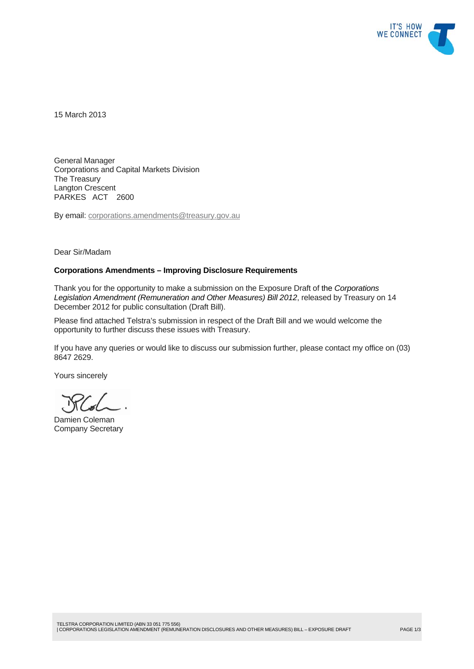

15 March 2013

General Manager Corporations and Capital Markets Division The Treasury Langton Crescent PARKES ACT 2600

By email: corporations.amendments@treasury.gov.au

Dear Sir/Madam

#### **Corporations Amendments – Improving Disclosure Requirements**

Thank you for the opportunity to make a submission on the Exposure Draft of the *Corporations Legislation Amendment (Remuneration and Other Measures) Bill 2012*, released by Treasury on 14 December 2012 for public consultation (Draft Bill).

Please find attached Telstra's submission in respect of the Draft Bill and we would welcome the opportunity to further discuss these issues with Treasury.

If you have any queries or would like to discuss our submission further, please contact my office on (03) 8647 2629.

Yours sincerely

Damien Coleman Company Secretary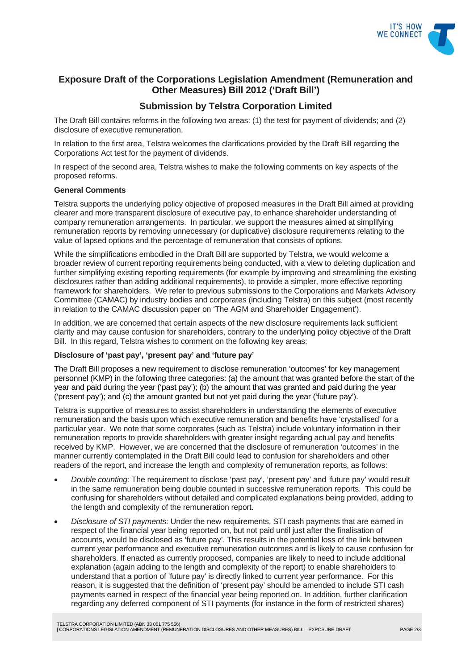

# **Exposure Draft of the Corporations Legislation Amendment (Remuneration and Other Measures) Bill 2012 ('Draft Bill')**

# **Submission by Telstra Corporation Limited**

The Draft Bill contains reforms in the following two areas: (1) the test for payment of dividends; and (2) disclosure of executive remuneration.

In relation to the first area, Telstra welcomes the clarifications provided by the Draft Bill regarding the Corporations Act test for the payment of dividends.

In respect of the second area, Telstra wishes to make the following comments on key aspects of the proposed reforms.

### **General Comments**

Telstra supports the underlying policy objective of proposed measures in the Draft Bill aimed at providing clearer and more transparent disclosure of executive pay, to enhance shareholder understanding of company remuneration arrangements. In particular, we support the measures aimed at simplifying remuneration reports by removing unnecessary (or duplicative) disclosure requirements relating to the value of lapsed options and the percentage of remuneration that consists of options.

While the simplifications embodied in the Draft Bill are supported by Telstra, we would welcome a broader review of current reporting requirements being conducted, with a view to deleting duplication and further simplifying existing reporting requirements (for example by improving and streamlining the existing disclosures rather than adding additional requirements), to provide a simpler, more effective reporting framework for shareholders. We refer to previous submissions to the Corporations and Markets Advisory Committee (CAMAC) by industry bodies and corporates (including Telstra) on this subject (most recently in relation to the CAMAC discussion paper on 'The AGM and Shareholder Engagement').

In addition, we are concerned that certain aspects of the new disclosure requirements lack sufficient clarity and may cause confusion for shareholders, contrary to the underlying policy objective of the Draft Bill. In this regard, Telstra wishes to comment on the following key areas:

### **Disclosure of 'past pay', 'present pay' and 'future pay'**

The Draft Bill proposes a new requirement to disclose remuneration 'outcomes' for key management personnel (KMP) in the following three categories: (a) the amount that was granted before the start of the year and paid during the year ('past pay'); (b) the amount that was granted and paid during the year ('present pay'); and (c) the amount granted but not yet paid during the year ('future pay').

Telstra is supportive of measures to assist shareholders in understanding the elements of executive remuneration and the basis upon which executive remuneration and benefits have 'crystallised' for a particular year. We note that some corporates (such as Telstra) include voluntary information in their remuneration reports to provide shareholders with greater insight regarding actual pay and benefits received by KMP. However, we are concerned that the disclosure of remuneration 'outcomes' in the manner currently contemplated in the Draft Bill could lead to confusion for shareholders and other readers of the report, and increase the length and complexity of remuneration reports, as follows:

- *Double counting:* The requirement to disclose 'past pay', 'present pay' and 'future pay' would result in the same remuneration being double counted in successive remuneration reports. This could be confusing for shareholders without detailed and complicated explanations being provided, adding to the length and complexity of the remuneration report.
- *Disclosure of STI payments:* Under the new requirements, STI cash payments that are earned in respect of the financial year being reported on, but not paid until just after the finalisation of accounts, would be disclosed as 'future pay'. This results in the potential loss of the link between current year performance and executive remuneration outcomes and is likely to cause confusion for shareholders. If enacted as currently proposed, companies are likely to need to include additional explanation (again adding to the length and complexity of the report) to enable shareholders to understand that a portion of 'future pay' is directly linked to current year performance. For this reason, it is suggested that the definition of 'present pay' should be amended to include STI cash payments earned in respect of the financial year being reported on. In addition, further clarification regarding any deferred component of STI payments (for instance in the form of restricted shares)